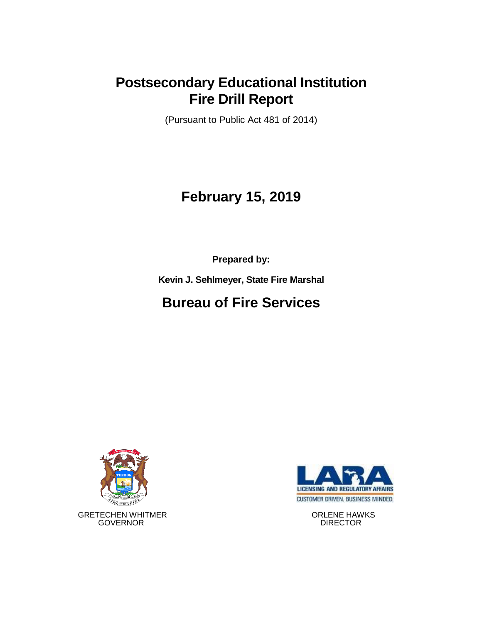## **Postsecondary Educational Institution Fire Drill Report**

(Pursuant to Public Act 481 of 2014)

# **February 15, 2019**

**Prepared by:**

**Kevin J. Sehlmeyer, State Fire Marshal**

# **Bureau of Fire Services**



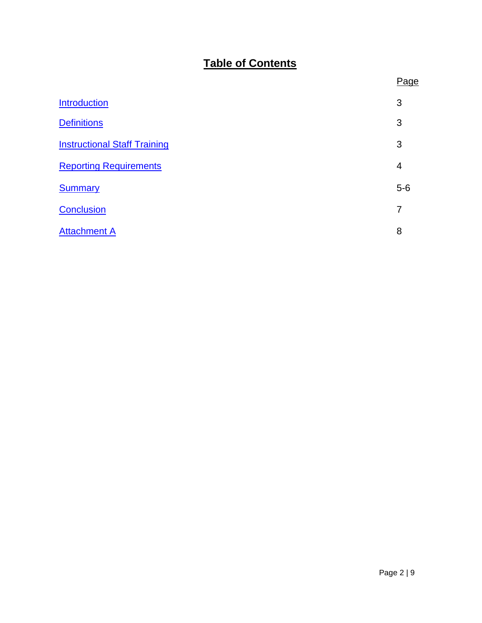### **Table of Contents**

|                                     | Page           |
|-------------------------------------|----------------|
| <b>Introduction</b>                 | 3              |
| <b>Definitions</b>                  | 3              |
| <b>Instructional Staff Training</b> | 3              |
| <b>Reporting Requirements</b>       | $\overline{4}$ |
| <b>Summary</b>                      | $5-6$          |
| <b>Conclusion</b>                   | 7              |
| <b>Attachment A</b>                 | 8              |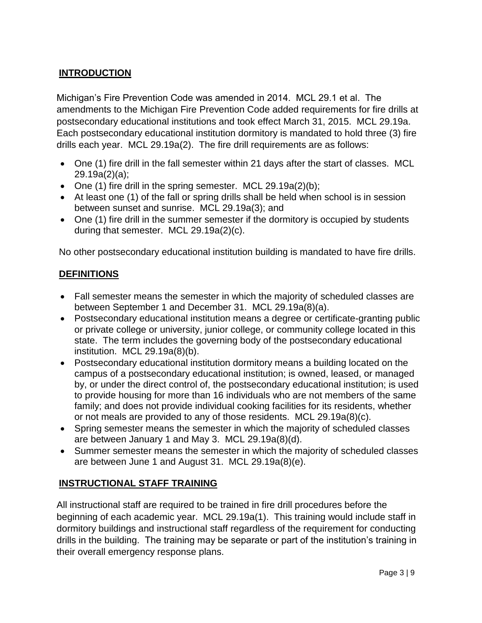### <span id="page-2-0"></span>**INTRODUCTION**

Michigan's Fire Prevention Code was amended in 2014. MCL 29.1 et al. The amendments to the Michigan Fire Prevention Code added requirements for fire drills at postsecondary educational institutions and took effect March 31, 2015. MCL 29.19a. Each postsecondary educational institution dormitory is mandated to hold three (3) fire drills each year. MCL 29.19a(2). The fire drill requirements are as follows:

- One (1) fire drill in the fall semester within 21 days after the start of classes. MCL 29.19a(2)(a);
- One  $(1)$  fire drill in the spring semester. MCL 29.19a $(2)(b)$ ;
- At least one (1) of the fall or spring drills shall be held when school is in session between sunset and sunrise. MCL 29.19a(3); and
- One (1) fire drill in the summer semester if the dormitory is occupied by students during that semester. MCL 29.19a(2)(c).

No other postsecondary educational institution building is mandated to have fire drills.

#### <span id="page-2-1"></span>**DEFINITIONS**

- Fall semester means the semester in which the majority of scheduled classes are between September 1 and December 31. MCL 29.19a(8)(a).
- Postsecondary educational institution means a degree or certificate-granting public or private college or university, junior college, or community college located in this state. The term includes the governing body of the postsecondary educational institution. MCL 29.19a(8)(b).
- Postsecondary educational institution dormitory means a building located on the campus of a postsecondary educational institution; is owned, leased, or managed by, or under the direct control of, the postsecondary educational institution; is used to provide housing for more than 16 individuals who are not members of the same family; and does not provide individual cooking facilities for its residents, whether or not meals are provided to any of those residents. MCL 29.19a(8)(c).
- Spring semester means the semester in which the majority of scheduled classes are between January 1 and May 3. MCL 29.19a(8)(d).
- Summer semester means the semester in which the majority of scheduled classes are between June 1 and August 31. MCL 29.19a(8)(e).

#### <span id="page-2-2"></span>**INSTRUCTIONAL STAFF TRAINING**

All instructional staff are required to be trained in fire drill procedures before the beginning of each academic year. MCL 29.19a(1). This training would include staff in dormitory buildings and instructional staff regardless of the requirement for conducting drills in the building. The training may be separate or part of the institution's training in their overall emergency response plans.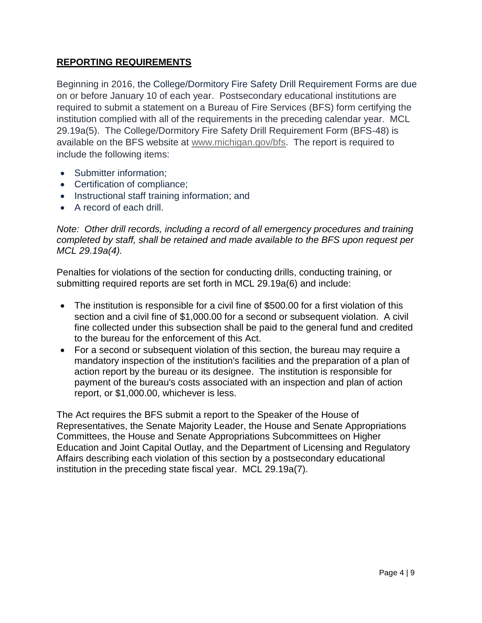#### <span id="page-3-0"></span>**REPORTING REQUIREMENTS**

Beginning in 2016, the College/Dormitory Fire Safety Drill Requirement Forms are due on or before January 10 of each year. Postsecondary educational institutions are required to submit a statement on a Bureau of Fire Services (BFS) form certifying the institution complied with all of the requirements in the preceding calendar year. MCL 29.19a(5). The College/Dormitory Fire Safety Drill Requirement Form (BFS-48) is available on the BFS website at [www.michigan.gov/bfs.](http://www.michigan.gov/bfs) The report is required to include the following items:

- Submitter information;
- Certification of compliance;
- Instructional staff training information; and
- A record of each drill.

*Note: Other drill records, including a record of all emergency procedures and training completed by staff, shall be retained and made available to the BFS upon request per MCL 29.19a(4).*

Penalties for violations of the section for conducting drills, conducting training, or submitting required reports are set forth in MCL 29.19a(6) and include:

- The institution is responsible for a civil fine of \$500.00 for a first violation of this section and a civil fine of \$1,000.00 for a second or subsequent violation. A civil fine collected under this subsection shall be paid to the general fund and credited to the bureau for the enforcement of this Act.
- For a second or subsequent violation of this section, the bureau may require a mandatory inspection of the institution's facilities and the preparation of a plan of action report by the bureau or its designee. The institution is responsible for payment of the bureau's costs associated with an inspection and plan of action report, or \$1,000.00, whichever is less.

The Act requires the BFS submit a report to the Speaker of the House of Representatives, the Senate Majority Leader, the House and Senate Appropriations Committees, the House and Senate Appropriations Subcommittees on Higher Education and Joint Capital Outlay, and the Department of Licensing and Regulatory Affairs describing each violation of this section by a postsecondary educational institution in the preceding state fiscal year. MCL 29.19a(7).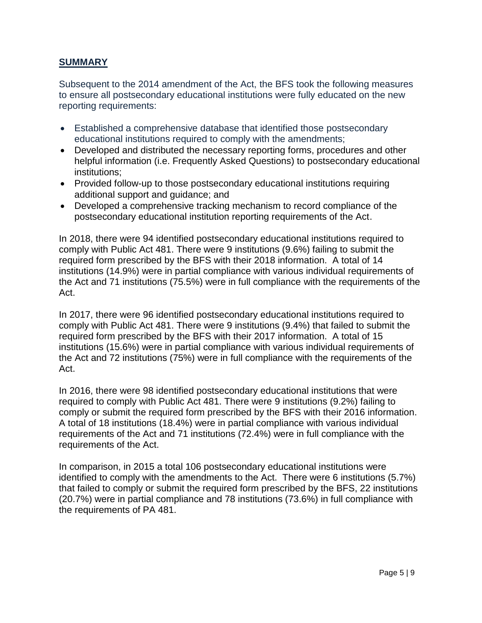#### <span id="page-4-0"></span>**SUMMARY**

Subsequent to the 2014 amendment of the Act, the BFS took the following measures to ensure all postsecondary educational institutions were fully educated on the new reporting requirements:

- Established a comprehensive database that identified those postsecondary educational institutions required to comply with the amendments;
- Developed and distributed the necessary reporting forms, procedures and other helpful information (i.e. Frequently Asked Questions) to postsecondary educational institutions;
- Provided follow-up to those postsecondary educational institutions requiring additional support and guidance; and
- Developed a comprehensive tracking mechanism to record compliance of the postsecondary educational institution reporting requirements of the Act.

In 2018, there were 94 identified postsecondary educational institutions required to comply with Public Act 481. There were 9 institutions (9.6%) failing to submit the required form prescribed by the BFS with their 2018 information. A total of 14 institutions (14.9%) were in partial compliance with various individual requirements of the Act and 71 institutions (75.5%) were in full compliance with the requirements of the Act.

In 2017, there were 96 identified postsecondary educational institutions required to comply with Public Act 481. There were 9 institutions (9.4%) that failed to submit the required form prescribed by the BFS with their 2017 information. A total of 15 institutions (15.6%) were in partial compliance with various individual requirements of the Act and 72 institutions (75%) were in full compliance with the requirements of the Act.

In 2016, there were 98 identified postsecondary educational institutions that were required to comply with Public Act 481. There were 9 institutions (9.2%) failing to comply or submit the required form prescribed by the BFS with their 2016 information. A total of 18 institutions (18.4%) were in partial compliance with various individual requirements of the Act and 71 institutions (72.4%) were in full compliance with the requirements of the Act.

In comparison, in 2015 a total 106 postsecondary educational institutions were identified to comply with the amendments to the Act. There were 6 institutions (5.7%) that failed to comply or submit the required form prescribed by the BFS, 22 institutions (20.7%) were in partial compliance and 78 institutions (73.6%) in full compliance with the requirements of PA 481.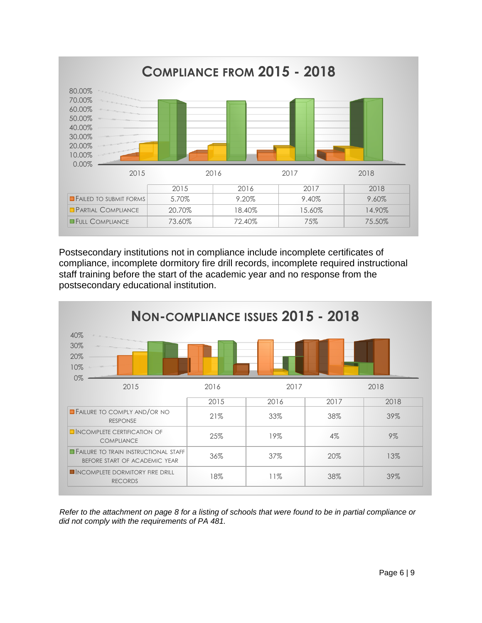

Postsecondary institutions not in compliance include incomplete certificates of compliance, incomplete dormitory fire drill records, incomplete required instructional staff training before the start of the academic year and no response from the postsecondary educational institution.



*Refer to the attachment on page 8 for a listing of schools that were found to be in partial compliance or*  did not comply with the requirements of PA 481.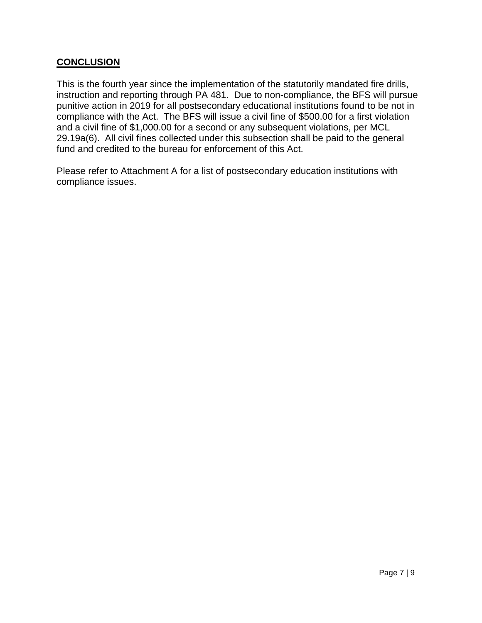#### <span id="page-6-0"></span>**CONCLUSION**

This is the fourth year since the implementation of the statutorily mandated fire drills, instruction and reporting through PA 481. Due to non-compliance, the BFS will pursue punitive action in 2019 for all postsecondary educational institutions found to be not in compliance with the Act. The BFS will issue a civil fine of \$500.00 for a first violation and a civil fine of \$1,000.00 for a second or any subsequent violations, per MCL 29.19a(6). All civil fines collected under this subsection shall be paid to the general fund and credited to the bureau for enforcement of this Act.

Please refer to Attachment A for a list of postsecondary education institutions with compliance issues.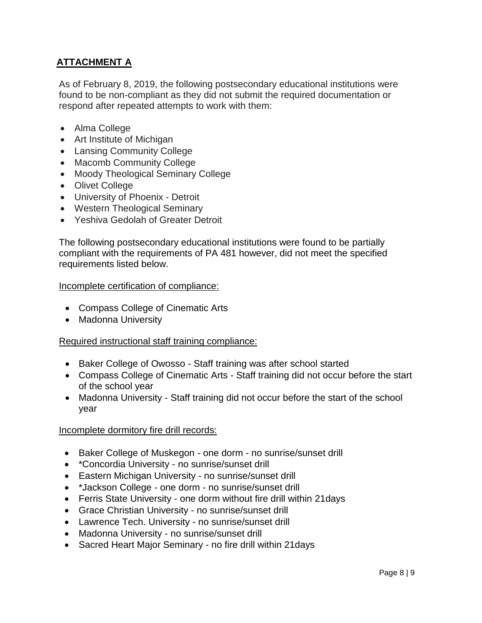### <span id="page-7-0"></span>**ATTACHMENT A**

As of February 8, 2019, the following postsecondary educational institutions were found to be non-compliant as they did not submit the required documentation or respond after repeated attempts to work with them:

- Alma College
- Art Institute of Michigan
- Lansing Community College
- Macomb Community College
- Moody Theological Seminary College
- Olivet College
- University of Phoenix Detroit
- Western Theological Seminary
- Yeshiva Gedolah of Greater Detroit

The following postsecondary educational institutions were found to be partially compliant with the requirements of PA 481 however, did not meet the specified requirements listed below.

#### Incomplete certification of compliance:

- Compass College of Cinematic Arts
- Madonna University

#### Required instructional staff training compliance:

- Baker College of Owosso Staff training was after school started
- Compass College of Cinematic Arts Staff training did not occur before the start of the school year
- Madonna University Staff training did not occur before the start of the school year

#### Incomplete dormitory fire drill records:

- Baker College of Muskegon one dorm no sunrise/sunset drill
- \*Concordia University no sunrise/sunset drill
- Eastern Michigan University no sunrise/sunset drill
- \*Jackson College one dorm no sunrise/sunset drill
- Ferris State University one dorm without fire drill within 21days
- Grace Christian University no sunrise/sunset drill
- Lawrence Tech. University no sunrise/sunset drill
- Madonna University no sunrise/sunset drill
- Sacred Heart Major Seminary no fire drill within 21days